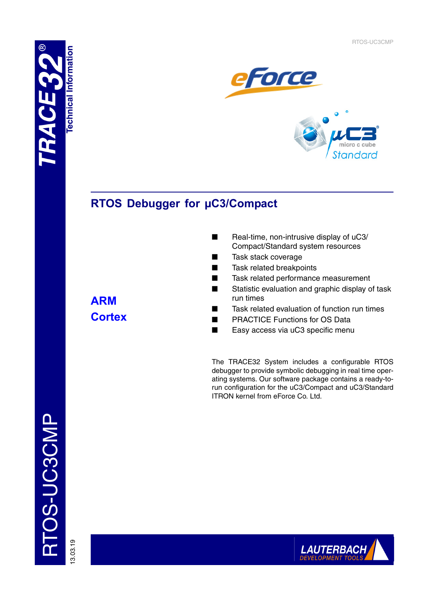RTOS-UC3CMP

eforce micro c **Standard** 

# **RTOS Debugger for µC3/Compact**

- Real-time, non-intrusive display of uC3/ Compact/Standard system resources
- Task stack coverage
- Task related breakpoints
- Task related performance measurement
- Statistic evaluation and graphic display of task run times
- Task related evaluation of function run times
- **PRACTICE Functions for OS Data**
- Easy access via uC3 specific menu

The TRACE32 System includes a configurable RTOS debugger to provide symbolic debugging in real time operating systems. Our software package contains a ready-torun configuration for the uC3/Compact and uC3/Standard ITRON kernel from eForce Co. Ltd.

TOS-UC3CMP RTOS-UC3CMP

13.03.19

**ARM Cortex**

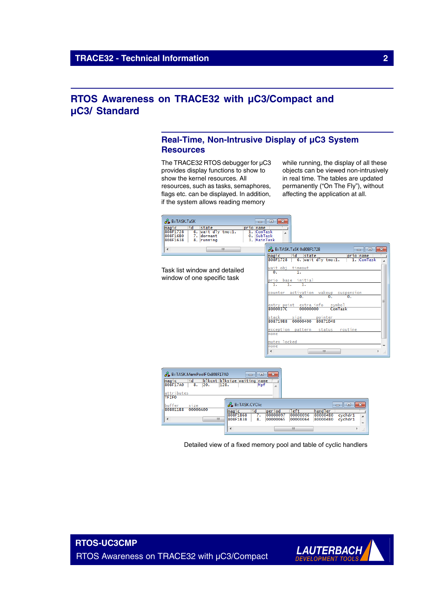## **RTOS Awareness on TRACE32 with µC3/Compact and µC3/ Standard**

## **Real-Time, Non-Intrusive Display of µC3 System Resources**

The TRACE32 RTOS debugger for  $\mu$ C3 provides display functions to show to show the kernel resources. All resources, such as tasks, semaphores, flags etc. can be displayed. In addition, if the system allows reading memory

while running, the display of all these objects can be viewed non-intrusively in real time. The tables are updated permanently ("On The Fly"), without affecting the application at all.

| <b>B</b> ::TASK.TaSK                                                                                           | $\overline{2}$<br><u>— Loll</u>                                                                                                                  |
|----------------------------------------------------------------------------------------------------------------|--------------------------------------------------------------------------------------------------------------------------------------------------|
| fid<br>state<br>magic<br>wait dly tmo:1.<br>808F1728<br>6.<br>808F16B0<br>7. dormant<br>808F1638<br>8. running | prio name<br><b>ComTask</b><br>1.<br>0. SubTask<br>3. MainTask                                                                                   |
| m.<br>$\blacktriangleleft$                                                                                     | B::TASK.TaSK 0x808F1728<br>$-x$<br><u>  o  </u><br>$\Box$<br>lid.<br>state<br>prio name<br>magic<br>6. wait dly tmo:1.<br>808F1728<br>1. ComTask |
| Task list window and detailed<br>window of one specific task                                                   | timeout<br>wait obj<br>$\overline{0}$ .<br>1.<br>base initial<br>prio                                                                            |
|                                                                                                                | τ.<br>Ŧ.<br>activation wakeup suspension<br>counter<br>0.<br>0.<br>0.<br>Ξ                                                                       |
|                                                                                                                | entry point extra info<br>symbol<br>8000037C<br>ComTask<br>00000000<br>pointer<br>Istack<br>size<br>80871988<br>00000400<br>80871D48             |
|                                                                                                                | exception pattern<br>status<br>routine<br>none                                                                                                   |
|                                                                                                                | mutex locked<br>none<br>Ш<br>∢<br>лi                                                                                                             |
| B::TASK.MemPoolF0x808F17A0                                                                                     |                                                                                                                                                  |

| ٦d<br>magic<br>808F17A0<br>128.<br>8.<br>20.                         | blkcnt blksize waiting name<br>Mpf<br>A                                                |                                   |                                 |                              |
|----------------------------------------------------------------------|----------------------------------------------------------------------------------------|-----------------------------------|---------------------------------|------------------------------|
| attributes<br><b>TFIFO</b><br>buffer<br>size<br>808011B8<br>00000A00 | <b>B:TASK.CYClic</b>                                                                   |                                   | $\Box$                          | $\mathbb{R}$<br>画            |
| m.<br>$\overline{4}$                                                 | period<br>magic<br>٦d<br>808F1B68<br>00000097<br>7.<br>808F1B38<br>00000065<br>8.<br>∢ | Teft<br>00000096<br>00000064<br>m | handler<br>800004B0<br>800004B0 | cychdr1<br>▴<br>cvchdr1<br>٠ |

Detailed view of a fixed memory pool and table of cyclic handlers

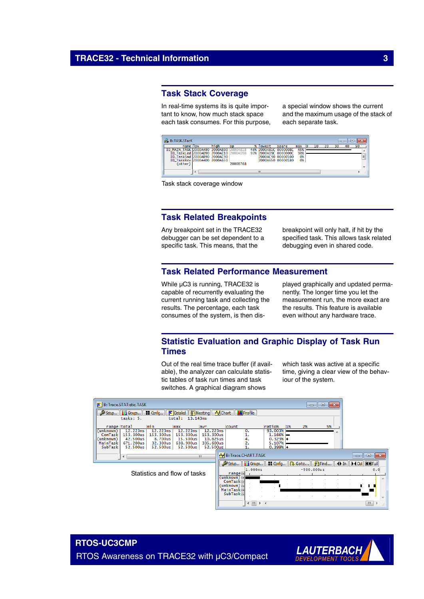## **Task Stack Coverage**

In real-time systems its is quite important to know, how much stack space each task consumes. For this purpose, a special window shows the current and the maximum usage of the stack of each separate task.



Task stack coverage window

## **Task Related Breakpoints**

Any breakpoint set in the TRACE32 debugger can be set dependent to a specific task. This means, that the

breakpoint will only halt, if hit by the specified task. This allows task related debugging even in shared code.

## **Task Related Performance Measurement**

While µC3 is running, TRACE32 is capable of recurrently evaluating the current running task and collecting the results. The percentage, each task consumes of the system, is then displayed graphically and updated permanently. The longer time you let the measurement run, the more exact are the results. This feature is available even without any hardware trace.

## **Statistic Evaluation and Graphic Display of Task Run Times**

Out of the real time trace buffer (if available), the analyzer can calculate statistic tables of task run times and task switches. A graphical diagram shows

which task was active at a specific time, giving a clear view of the behaviour of the system.

| ii Groups<br><b>Ed</b> Config<br>$\mathbf{F}$ Detailed $\ \mathbf{F}\ $ Nesting $\ \mathbf{F}\ $ Chart $\ \mathbf{F}\ $ Profile<br>Setup<br>tasks: 5.<br>13.143ms<br>total:<br>min<br>5%<br>range total<br>ratio%<br>2%<br>1%<br>count<br>max<br>avr<br>12.223ms<br>12.223ms<br>12.223ms<br>12.223ms<br>93.003%<br>0.<br>(unknown)<br>153.300us<br>153, 300us<br>153.300us<br>153.300us<br>$1.166% =$<br>ComTask<br>(unknown)<br>42.500us<br>0.323%<br>8.700us<br>15.500us<br>10.625us<br>4.<br>5.107%<br>671.200us<br>32.300us<br>638, 900us<br>335.600us<br>MainTask<br>2.<br>SubTask<br>52.500us<br>52.500us<br>$0.399% +$<br>52.500us<br>52.500us<br><b>N</b> B:: Trace.CHART.TASK<br>$\mathbf{R}$<br>$\Box$<br>m.<br>$\blacktriangleleft$ | $-x$<br><u>— 19</u> |
|------------------------------------------------------------------------------------------------------------------------------------------------------------------------------------------------------------------------------------------------------------------------------------------------------------------------------------------------------------------------------------------------------------------------------------------------------------------------------------------------------------------------------------------------------------------------------------------------------------------------------------------------------------------------------------------------------------------------------------------------|---------------------|
|                                                                                                                                                                                                                                                                                                                                                                                                                                                                                                                                                                                                                                                                                                                                                |                     |
|                                                                                                                                                                                                                                                                                                                                                                                                                                                                                                                                                                                                                                                                                                                                                |                     |
|                                                                                                                                                                                                                                                                                                                                                                                                                                                                                                                                                                                                                                                                                                                                                |                     |
|                                                                                                                                                                                                                                                                                                                                                                                                                                                                                                                                                                                                                                                                                                                                                |                     |
| <b>i</b> i Goups<br><b>Examin</b>    Q. Goto    #1Find    4D In    D4 Out    KN Full<br>Setup<br>1.000ms<br>$-500,000$ us<br>0.0<br>Statistics and flow of tasks<br>range<br>(unknown) 丽<br><b>ComTask</b><br>(unknown) 丽<br>MainTaskW<br><b>SubTask</b><br>$\leftarrow$ $\left  \text{III} \right $<br>m.<br>$+$ $+$                                                                                                                                                                                                                                                                                                                                                                                                                          |                     |



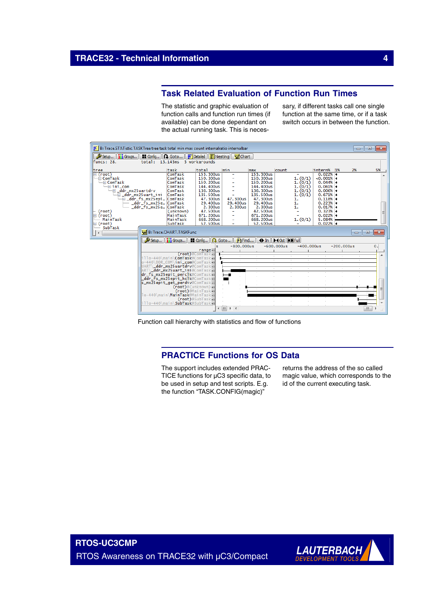## **Task Related Evaluation of Function Run Times**

The statistic and graphic evaluation of function calls and function run times (if available) can be done dependant on the actual running task. This is necessary, if different tasks call one single function at the same time, or if a task switch occurs in between the function.

|                                                                                                                                                                                        | $\mathbb{F}$ B:: Trace.STATistic.TASKTree tree task total min max count internalratio internalbar                                                                                                                                                                                                                                                                                        |                                                                                                                                                                      |                                 |                                                                                                                                                                      |                                                                                        |                                                                                                                                             |    | $\begin{array}{c c c c c c} \hline \multicolumn{3}{c }{\mathbf{C}} & \multicolumn{3}{c }{\mathbf{C}} & \multicolumn{3}{c }{\mathbf{X}} \end{array}$                                                                                                                                                                                                                                                                                    |
|----------------------------------------------------------------------------------------------------------------------------------------------------------------------------------------|------------------------------------------------------------------------------------------------------------------------------------------------------------------------------------------------------------------------------------------------------------------------------------------------------------------------------------------------------------------------------------------|----------------------------------------------------------------------------------------------------------------------------------------------------------------------|---------------------------------|----------------------------------------------------------------------------------------------------------------------------------------------------------------------|----------------------------------------------------------------------------------------|---------------------------------------------------------------------------------------------------------------------------------------------|----|----------------------------------------------------------------------------------------------------------------------------------------------------------------------------------------------------------------------------------------------------------------------------------------------------------------------------------------------------------------------------------------------------------------------------------------|
| Setup iii Goups                                                                                                                                                                        | ■ Config    <b>Q.</b> Goto    三 Detailed    <mark>厦:</mark> Nesting    도 Chart                                                                                                                                                                                                                                                                                                           |                                                                                                                                                                      |                                 |                                                                                                                                                                      |                                                                                        |                                                                                                                                             |    |                                                                                                                                                                                                                                                                                                                                                                                                                                        |
| Funcs: 28.                                                                                                                                                                             | total: $13.143ms$                                                                                                                                                                                                                                                                                                                                                                        | 3 workarounds                                                                                                                                                        |                                 |                                                                                                                                                                      |                                                                                        |                                                                                                                                             |    |                                                                                                                                                                                                                                                                                                                                                                                                                                        |
| ltree                                                                                                                                                                                  | task                                                                                                                                                                                                                                                                                                                                                                                     | total                                                                                                                                                                | min                             | max                                                                                                                                                                  | count                                                                                  | intern% 1%                                                                                                                                  | 2% | 5%                                                                                                                                                                                                                                                                                                                                                                                                                                     |
| $\boxminus$ (root)<br>$\Box\Box$ ComTask<br>$\Box$ ComTask<br>$\Box$ ini_com<br>└□ ddr mx25uartdrv<br>(root)<br>$\boxminus$ (root)<br>MainTask<br>$\boxminus$ (root)<br>SubTask<br>U ⊀ | ComTask<br>ComTask<br>ComTask<br>ComTask<br>ComTask<br>⊕_ddr_mx25uart_ini<br>ComTask<br>└□_ddr_fs_mx25epi<br>ComTask<br>_ddr_fs_mx25e<br>ComTask<br>ddr_fs_mx25e…<br>ComTask<br>(unknown)<br>MainTask<br>MainTask<br>SubTask<br><b>B:: Trace.CHART.TASKFunc</b>                                                                                                                          | 153, 300us<br>150, 300us<br>150.200us<br>144,400us<br>136, 300us<br>135.500us<br>47.300us<br>29.400us<br>2.300us<br>42.500us<br>671, 200us<br>668, 200us<br>52.500us | 47.300us<br>29.400us<br>2.300us | 153.300us<br>150, 300us<br>150, 200us<br>144,400us<br>136, 300us<br>135.500us<br>47.300us<br>29.400us<br>2.300us<br>42.500us<br>671, 200us<br>668, 200us<br>52.500us | 1. (0/1)<br>1. (0/1)<br>1. (0/1)<br>1. (0/1)<br>1. (0/1)<br>1.<br>1.<br>1.<br>1. (0/1) | 0.022%<br>$< 0.001\%$<br>0.044%<br>0.061%<br>0.006%<br>0.671%<br>0.118%<br>0.223%<br>0.017%<br>0.323%<br>$0.022%$ +<br>5.084%<br>$0.022%$ + |    | $\begin{array}{c c c c c c} \hline \multicolumn{3}{c }{-} & \multicolumn{3}{c }{-} \multicolumn{3}{c }{-} \multicolumn{3}{c }{-} \multicolumn{3}{c }{-} \multicolumn{3}{c }{-} \multicolumn{3}{c }{-} \multicolumn{3}{c }{-} \multicolumn{3}{c }{-} \multicolumn{3}{c }{-} \multicolumn{3}{c }{-} \multicolumn{3}{c }{-} \multicolumn{3}{c }{-} \multicolumn{3}{c }{-} \multicolumn{3}{c }{-} \multicolumn{3}{c }{-} \multicolumn{3}{$ |
|                                                                                                                                                                                        | Setup<br><b>i'i</b> Groups                                                                                                                                                                                                                                                                                                                                                               | <b>Examig</b>   <b>Q.</b> Goto   <b>P</b> Find   <b>Q.</b> In   <b>MO</b> ut   <b>KN</b> Full                                                                        |                                 |                                                                                                                                                                      |                                                                                        |                                                                                                                                             |    |                                                                                                                                                                                                                                                                                                                                                                                                                                        |
|                                                                                                                                                                                        | illo-440\main\ <b>ComTask</b> @ComTaskMW<br>o-440\DDR_COM\ <b>ini_com</b> @ComTaskMM<br>UART\_ddr_mx25uartdrv@ComTaskMM<br>ART\ ddr_mx25uart_ini@ComTaskMM<br>dr_fs_mx25epit_perclk@ComTaskMM<br>_ <b>ddr_fs_mx25epit_hclk</b> @ComTask丽<br>s_mx25epit_get_perdiv@ComTaskMM<br>(root)@(unknown) 丽<br>lo-440\main <b>\MainTask</b> @MainTaskMM<br>hilo-440\main\ <b>SubTask</b> @SubTaskW | s<br>range<br>(root)@ComTaskMW<br>(root)@MainTaskWW<br>(root)@SubTask阳<br>$\leftarrow$ $\left \mathbf{m}\right $                                                     | $-800.000us$<br>$+$ $+$         | $\sim$                                                                                                                                                               | $-600.000us$<br>$-400.000us$<br>$\sim$<br>$\sim$<br>$\sim$<br>$\sim$<br>$\sim$         | $-200.000u s$<br>$\sim$                                                                                                                     |    | $\mathbf{0}$ .<br>Ξ<br>$\mathbf{H}$ .                                                                                                                                                                                                                                                                                                                                                                                                  |

Function call hierarchy with statistics and flow of functions

## **PRACTICE Functions for OS Data**

The support includes extended PRAC-TICE functions for µC3 specific data, to be used in setup and test scripts. E.g. the function "TASK.CONFIG(magic)"

returns the address of the so called magic value, which corresponds to the id of the current executing task.

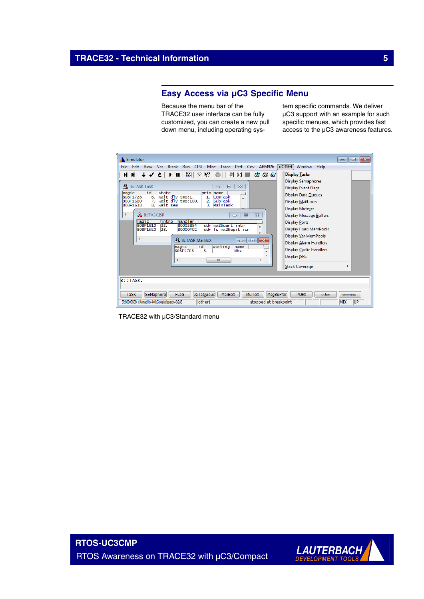## **Easy Access via µC3 Specific Menu**

Because the menu bar of the TRACE32 user interface can be fully customized, you can create a new pull down menu, including operating system specific commands. We deliver µC3 support with an example for such specific menues, which provides fast access to the µC3 awareness features.

| Simulator                                                                                                                                                                                                                                                                                                                                                                                                                                                                                                                                                                                                                                                                                                                                                                                                                                                                                                                                                                                                                                                                                          | $\parallel x$<br><u>ale</u>        |  |  |  |  |  |
|----------------------------------------------------------------------------------------------------------------------------------------------------------------------------------------------------------------------------------------------------------------------------------------------------------------------------------------------------------------------------------------------------------------------------------------------------------------------------------------------------------------------------------------------------------------------------------------------------------------------------------------------------------------------------------------------------------------------------------------------------------------------------------------------------------------------------------------------------------------------------------------------------------------------------------------------------------------------------------------------------------------------------------------------------------------------------------------------------|------------------------------------|--|--|--|--|--|
| CPU<br><b>ARM926</b><br>Run<br><b>Misc</b><br>Perf<br>File:<br>Fdit<br>View<br>Var<br><b>Break</b><br>Trace<br>Cov                                                                                                                                                                                                                                                                                                                                                                                                                                                                                                                                                                                                                                                                                                                                                                                                                                                                                                                                                                                 | uc3Std<br>Window<br>Help           |  |  |  |  |  |
| 図<br>q<br>Ķ?<br>冒<br>$^{0101}_{101}$<br>66 66 68<br><b>Display Tasks</b><br><b>W  ↑ ∿ ⊊</b><br>H.<br>ш<br>▶<br>⅏<br><b>Display Semaphores</b><br>B::TASK.TaSK<br>$\Sigma$<br>$\Box$<br>$\Box$<br><b>Display Event Flags</b><br>hid<br>state<br>prio name<br>magic<br><b>Display Data Queues</b><br>wait dly tmo:1.<br>808F1728<br>ComTask<br>6.<br>1.<br>SubTask<br>808F16B0<br>7. wait dly tmo:100.<br>2.<br><b>Display Mailboxes</b><br>808F1638<br>8. wait sem<br>3. MainTask<br><b>Display Mutexes</b><br><b>B:TASK.ISR</b><br>∢<br>$\Sigma$<br>$\qquad \qquad \Box$<br>Display Message Buffers<br>$\Box$<br>handler<br>intno<br>magic<br><b>Display Ports</b><br>808F1610<br>32.<br>80002854<br>_ddr_mx25uart_intr<br>▲<br>Display Fixed MemPools<br>808F15E0<br>28.<br>80000FCC<br>_ddr_fs_mx25epit_isr<br>Display Var MemPools<br>∢<br><b>B:TASK.MailBoX</b><br>$\ x\ $<br>o<br>$\blacksquare$<br>Display Alarm Handlers<br>hid<br>waiting<br>name<br><b>magic</b><br>Display Cyclic Handlers<br>808F17C8<br><b>Mbx</b><br>$\overline{\mathbf{8}}$ .<br>Display ISRs<br>∢<br>m.<br>Þ.<br>-A |                                    |  |  |  |  |  |
|                                                                                                                                                                                                                                                                                                                                                                                                                                                                                                                                                                                                                                                                                                                                                                                                                                                                                                                                                                                                                                                                                                    | <b>Stack Coverage</b>              |  |  |  |  |  |
| $B$ : TASK.<br><b>MailBoX</b><br><b>MuTeX</b><br>MsgBuFfer<br><b>PORt</b><br>other                                                                                                                                                                                                                                                                                                                                                                                                                                                                                                                                                                                                                                                                                                                                                                                                                                                                                                                                                                                                                 |                                    |  |  |  |  |  |
| <b>DaTaQueue</b><br><b>TaSK</b><br>SEMaphore<br><b>FLaG</b><br>(other)<br>stopped at breakpoint<br>SR:800036D8 \\Armadillo-440\Global\dispatch+0x2A8                                                                                                                                                                                                                                                                                                                                                                                                                                                                                                                                                                                                                                                                                                                                                                                                                                                                                                                                               | previous<br>UP<br><b>MIX</b><br>лi |  |  |  |  |  |

TRACE32 with µC3/Standard menu

**RTOS-UC3CMP** RTOS Awareness on TRACE32 with µC3/Compact

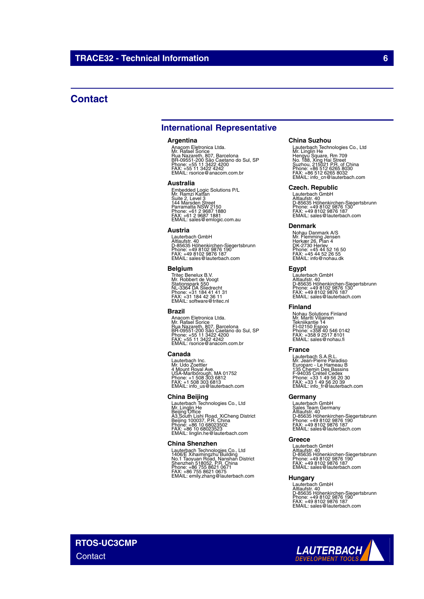## **Contact**

## **International Representative**

#### **Argentina**

Anacom Eletronica Ltda.<br>Mr. Rafael Sorice<br>Rua Nazareth, 807, Barcelona<br>BR-09551-200 São Caetano do Sul, SP<br>Phone: +55 11 3422 4242<br>FAX: +55 11 3422 4242<br>EMAIL: rsorice@anacom.com.br

#### **Australia**

Embedded Logic Solutions P/L<br>Mr. Ramzi Kattan<br>Suite 2, Level 3<br>Parramatta NSW 2150<br>Parramatta NSW 2150<br>Phone: +61 2 9687 1880<br>FMAIL: sales@emlogic.com.au

#### **Austria**

Lauterbach GmbH<br>Altlaufstr. 40<br>D-85635 Höhenkirchen-Siegertsbrunn<br>Phone: +49 8102 9876 187<br>FAX: +49 8102 9876 187<br>EMAIL: sales@lauterbach.com

#### **Belgium**

Tritec Benelux B.V. Mr. Robbert de Voogt Stationspark 550 NL-3364 DA Sliedrecht Phone: +31 184 41 41 31 FAX: +31 184 42 36 11 EMAIL: software@tritec.nl

#### **Brazil**

Anacom Eletronica Ltda.<br>Mr. Rafael Sorice<br>Rua Nazareth, 807, Barcelona<br>BR-09551-200 São Caetano do Sul, SP<br>Phone: +55 11 3422 4242<br>FAX: +55 11 3422 4242<br>EMAIL: rsorice@anacom.com.br

#### **Canada**

Lauterbach Inc. Mr. Udo Zoettler 4 Mount Royal Ave. USA-Marlborough, MA 01752 Phone: +1 508 303 6812 FAX: +1 508 303 6813 EMAIL: info\_us@lauterbach.com

#### **China Beijing**

Lauterbach Technologies Co., Ltd<br>Mr. Linglin He<br>Beijing Office<br>A3,South Lishi Road, XiCheng District<br>Beijing 100037, P.R. China<br>Phone: +86 10 68023523<br>EMAIL: linglin.he@lauterbach.com

#### **China Shenzhen**

Lauterbach Technologies Co., Ltd<br>1406/E Xihaimingzhu Building<br>No.1 Taoyuan Road, Nanshan District<br>Shenzhen 518052, P.R. China<br>Phone: +86 755 8621 0675<br>FAX: +86 755 8621 0675<br>EMAIL: emily.zhang@lauterbach.com

#### **China Suzhou**

Lauterbach Technologies Co., Ltd<br>Mr. Linglin He<br>Hengyu Square, Rm 709<br>Suzhou, 215021 P.R. of China<br>Suzhou, 215021 P.R. of China<br>Phone: +86 512 6265 8030<br>FMAIL: info\_cn@lauterbach.com

#### **Czech. Republic**

Lauterbach GmbH<br>Altlaufstr. 40<br>D-85635 Höhenkirchen-Siegertsbrunn<br>Phone: +49 8102 9876 187<br>FAX: +49 8102 9876 187<br>EMAIL: sales@lauterbach.com

#### **Denmark**

Nohau Danmark A/S<br>Mr. Flemming Jensen<br>Hørkær 26, Plan 4<br>DK-2730 Herlev<br>Phone: +45 44 52 16 50<br>FAX: +45 44 52 26 55<br>EMAIL: info@nohau.dk

#### **Egypt**

Lauterbach GmbH<br>Altlaufstr. 40<br>D-85635 Höhenkirchen-Siegertsbrunn<br>Phone: +49 8102 9876 187<br>FAX: +49 8102 9876 187<br>EMAIL: sales@lauterbach.com

#### **Finland**

Nohau Solutions Finland Mr. Martti Viljainen Tekniikantie 14 FI-02150 Espoo Phone: +358 40 546 0142 FAX: +358 9 2517 8101 EMAIL: sales@nohau.fi

#### **France**

Lauterbach S.A.R.L.<br>Mr. Jean-Pierre Paradiso<br>Europarc - Le Hameau B<br>135 Chemin Des Bassins<br>F-94035 Créteil Cedex<br>Phone: +33 1 49 56 20 30<br>EMAIL: info\_fr@lauterbach.com<br>EMAIL: info\_fr@lauterbach.com

#### **Germany**

Lauterbach GmbH<br>Sales Team Germany<br>Altlaufstr. 40<br>D-85635 Höhenkirchen-Siegertsbrunn<br>Phone: +49 8102 9876 187<br>FAX: +49 8102 9876 187<br>EMAIL: sales@lauterbach.com

#### **Greece**

Lauterbach GmbH Altlaufstr. 40 D-85635 Höhenkirchen-Siegertsbrunn Phone: +49 8102 9876 190 FAX: +49 8102 9876 187 EMAIL: sales@lauterbach.com

#### **Hungary**

Lauterbach GmbH<br>Altlaufstr. 40<br>D-85635 Höhenkirchen-Siegertsbrunn<br>Phone: +49 8102 9876 187<br>FAX: +49 8102 9876 187<br>EMAIL: sales@lauterbach.com

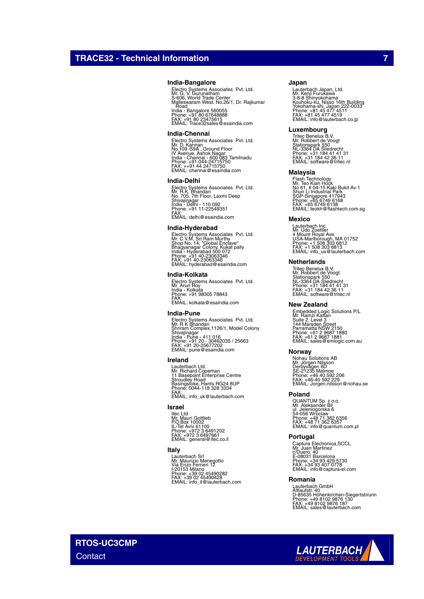#### **India-Bangalore**

Electro Systems Associates Pvt. Ltd.<br>Mr. G. V. Gurunatham<br>Malleswaram West, No.26/1, Dr. Rajkumar<br>Malleswaram West, No.26/1, Dr. Rajkumar<br>. Road India - Bangalore 560055 Phone: +91 80 67648888 FAX: +91 80 23475615 EMAIL: Trace32sales@esaindia.com

#### **India-Chennai**

Electro Systems Associates Pvt. Ltd.<br>Mr. D. Kannan<br>IV Avenue, Ashok Nagar<br>India - Chennai - 600 083 Tamilnadu<br>India - Chennai - 600 083 Tamilnadu<br>Phone: +91 044-24715750<br>EMAIL: chennai@esaindia.com

#### **India-Delhi**

Electro Systems Associates Pvt. Ltd.<br>Mr. R.K. Bhandari<br>Shivajinagar<br>Shivajinagar<br>India - Delhi - 110 092<br>Phone: +91 11-22549351<br>FMAIL: delhi@esaindia.com

#### **India-Hyderabad**

Electro Systems Associates Pvt. Ltd.<br>Mr. C.V.M. Sri Ram Murthy<br>Shop No. 14, "Global Enclave"<br>India - Hyderabad 500 072<br>India - Hyderabad 500 072<br>Phone: +91 40-23063346<br>EMAIL: hyderabad@esaindia.com

#### **India-Kolkata**

Electro Systems Associates Pvt. Ltd. Mr. Arun Roy India - Kolkata Phone: +91 98305 78843 FAX: EMAIL: kolkata@esaindia.com

#### **India-Pune**

Electro Systems Associates Pvt. Ltd.<br>Mr. R K Bhandari<br>Shrivajinagar<br>Shivajinagar<br>India - Pune - 411 016<br>Phone: +91 20 - 30462035 / 25663<br>FAX: +91 20 -25677202<br>EMAIL: pune@esaindia.com

#### **Ireland**

Lauterbach Ltd. Mr. Richard Copeman 11 Basepoint Enterprise Centre Stroudley Road Basingstoke, Hants RG24 8UP Phone: 0044-118 328 3334 FAX: EMAIL: info\_uk@lauterbach.com

#### **Israel**

ltec Ltd.<br>Mr. Mauri Gottlieb<br>P.O.Box 10002<br>IL-Tel Aviv 61100<br>Phone: +972 3 6497661<br>FMAIL: general@itec.co.il

#### **Italy**

Lauterbach Srl Mr. Maurizio Menegotto Via Enzo Ferrieri 12 I-20153 Milano Phone: +39 02 45490282 FAX: +39 02 45490428 EMAIL: info\_it@lauterbach.com

#### **Japan**

Lauterbach Japan, Ltd.<br>3-8-8 Shinyokohama<br>X-8-8 Shinyokohama<br>Yokohama-shi, Japan 222-0033<br>Yokohama-shi, Japan 222-0033<br>Phone: +81 45 477 4519<br>EMAIL: info@lauterbach.co.jp

#### **Luxembourg**

Tritec Benelux B.V. Mr. Robbert de Voogt Stationspark 550 NL-3364 DA Sliedrecht Phone: +31 184 41 41 31 FAX: +31 184 42 36 11 EMAIL: software@tritec.nl

#### **Malaysia**

Flash Technology<br>Mr. Teo Kian Hock<br>No 61, # 04-15 Kaki Bukit Av 1<br>Shun Li Industrial Park<br>SGP-Singapore 417943<br>Phone: +65 6749 6138<br>PMAIL: teokh@flashtech.com.sg<br>EMAIL: teokh@flashtech.com.sg

#### **Mexico**

Lauterbach Inc. Mr. Udo Zoettler 4 Mount Royal Ave. USA-Marlborough, MA 01752 Phone: +1 508 303 6812 FAX: +1 508 303 6813 EMAIL: info\_us@lauterbach.com

#### **Netherlands**

Tritec Benelux B.V. Mr. Robbert de Voogt Stationspark 550 NL-3364 DA Sliedrecht Phone: +31 184 41 41 31 FAX: +31 184 42 36 11 EMAIL: software@tritec.nl

#### **New Zealand**

Embedded Logic Solutions P/L<br>Mr. Ramzi Kattan<br>Suite 2, Level 3<br>Parramatta NSW 2150<br>Parramatta NSW 2150<br>Phone: +61 2 9687 1880<br>Phone: +61 2 9687 1881<br>EMAIL: sales@emlogic.com.au

#### **Norway**

Nohau Solutions AB<br>Mr. Jörgen Nilsson<br>Derbyvägen 6D<br>SE-21235 Malmoe<br>Phone: +46 40 592 2206<br>FAX: +46-40 592 229<br>EMAIL: Jorgen.nilsson@nohau.se

#### **Poland**

QUANTUM Sp. z o.o.<br>Mr. Aleksander Bil<br>ul. Jeleniogorska 6<br>54-056 Wroclaw<br>Phone: +48 71 362 6357<br>FAX: +48 71 362 6357<br>EMAIL: info@quantum.com.pl

#### **Portugal**

Captura Electronica,SCCL<br>Mr. Juan Martinez<br>c/Duero, 40<br>E-08031 Barcelona<br>Phone: +34 93 407 0778<br>FAX: +34 93 407 0778<br>EMAIL: info@captura-el.com

#### **Romania**

Lauterbach GmbH<br>Altlaufstr. 40<br>D-85635 Höhenkirchen-Siegertsbrunn<br>Phone: +49 8102 9876 187<br>FAX: +49 8102 9876 187<br>EMAIL: sales@lauterbach.com

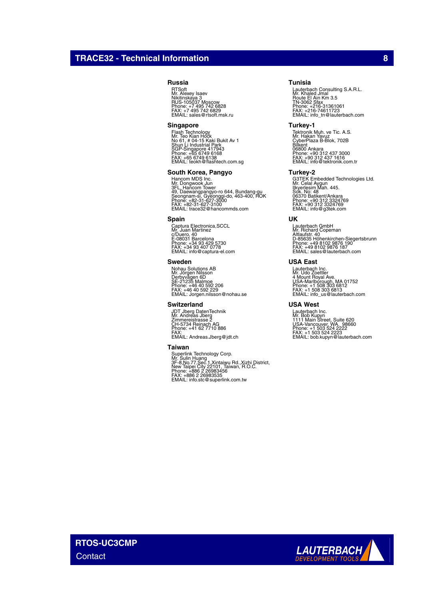## **TRACE32 - Technical Information 8**

#### **Russia**

RTSoft Mr. Alexey Isaev Nikitinskaya 3 RUS-105037 Moscow Phone: +7 495 742 6828 FAX: +7 495 742 6829 EMAIL: sales@rtsoft.msk.ru

#### **Singapore**

Flash Technology<br>Mr. Teo Kian Hock<br>No 61, # 04-15 Kaki Bukit Av 1<br>Shun Li Industrial Park<br>SGP-Singapore 417943<br>Phone: +65 6749 6138<br>FMAIL: teokh@flashtech.com.sg<br>EMAIL: teokh@flashtech.com.sg

#### **South Korea, Pangyo**

Hancom MDS Inc.<br>Mr. Dongwook Jun<br>3FL. Hancom Tower<br>Seongnam-si, Gyeonggi-do, 463-400, ROK<br>Seongnam-si, Gyeonggi-do, 463-400, ROK<br>Phone: +82-31-627-3100<br>EMAIL: trace32@hancommds.com

#### **Spain**

Captura Electronica,SCCL Mr. Juan Martinez c/Duero, 40 E-08031 Barcelona Phone: +34 93 429 5730 FAX: +34 93 407 0778 EMAIL: info@captura-el.com

#### **Sweden**

Nohau Solutions AB<br>Mr. Jörgen Nilsson<br>Derbyvägen 6D<br>SE-21235 Malmoe<br>Phone: +46 40 592 2206<br>FAX: +46 40 592 229<br>EMAIL: Jorgen.nilsson@nohau.se

#### **Switzerland**

JDT Jberg DatenTechnik Mr. Andreas Jberg Zimmereistrasse 2 CH-5734 Reinach AG Phone: +41 62 7710 886 FAX: EMAIL: Andreas.Jberg@jdt.ch

#### **Taiwan**

Superlink Technology Corp.<br>Mr. Sulin Huang<br>3F-8,No.77,Sec.1,Xintaiwu Rd.,Xizhi District,<br>New Taipei City 22101, Taiwan, R.O.C.<br>Phone: +886 2 26983535<br>FAX: +886 2 26983535<br>EMAIL: info.stc@superlink.com.tw

#### **Tunisia**

Lauterbach Consulting S.A.R.L.<br>Mr. Khaled Jmal<br>Route El Ain Km 3.5<br>TN-3062 Sfax<br>Phone: +216-31361061<br>FMX: -216-74611723<br>EMAIL: info\_tn@lauterbach.com

#### **Turkey-1**

Tektronik Muh. ve Tic. A.S.<br>Mr. Hakan Yavuz<br>Bilkent<br>CyberPlaza B-Blok, 702B<br>06800 Ankara<br>Phone: +90 312 437 3000<br>Phone: +90 312 437 1616<br>EMAIL: info@tektronik.com.tr

#### **Turkey-2**

G3TEK Embedded Technologies Ltd. Mr. Celal Aygun Ilkyerlesim Mah. 445. Sok. No: 48 06370 Batikent/Ankara Phone: +90 312 3324769 FAX: +90 312 3324769 EMAIL: info@g3tek.com

#### **UK**

Lauterbach GmbH Mr. Richard Copeman Altlaufstr. 40 D-85635 Höhenkirchen-Siegertsbrunn Phone: +49 8102 9876 190 FAX: +49 8102 9876 187 EMAIL: sales@lauterbach.com

#### **USA East**

Lauterbach Inc. Mr. Udo Zoettler 4 Mount Royal Ave. USA-Marlborough, MA 01752 Phone: +1 508 303 6812 FAX: +1 508 303 6813 EMAIL: info\_us@lauterbach.com

#### **USA West**

Lauterbach Inc.<br>Mr. Bob Kupyn<br>1111 Main Street, Suite 620<br>USA-Vancouver, WA. 98660<br>Phone: +1 503 524 2222<br>FAX: +1 503 524 2223<br>EMAIL: bob.kupyn@lauterbach.com

**RTOS-UC3CMP Contact**